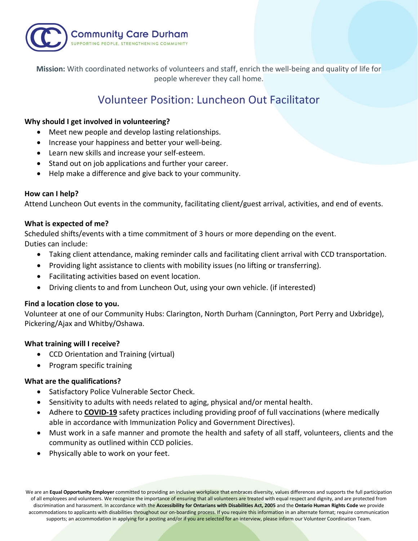

**Mission:** With coordinated networks of volunteers and staff, enrich the well-being and quality of life for people wherever they call home.

# Volunteer Position: Luncheon Out Facilitator

### **Why should I get involved in volunteering?**

- Meet new people and develop lasting relationships.
- Increase your happiness and better your well-being.
- Learn new skills and increase your self-esteem.
- Stand out on job applications and further your career.
- Help make a difference and give back to your community.

#### **How can I help?**

Attend Luncheon Out events in the community, facilitating client/guest arrival, activities, and end of events.

#### **What is expected of me?**

Scheduled shifts/events with a time commitment of 3 hours or more depending on the event. Duties can include:

- Taking client attendance, making reminder calls and facilitating client arrival with CCD transportation.
- Providing light assistance to clients with mobility issues (no lifting or transferring).
- Facilitating activities based on event location.
- Driving clients to and from Luncheon Out, using your own vehicle. (if interested)

#### **Find a location close to you.**

Volunteer at one of our Community Hubs: Clarington, North Durham (Cannington, Port Perry and Uxbridge), Pickering/Ajax and Whitby/Oshawa.

## **What training will I receive?**

- CCD Orientation and Training (virtual)
- Program specific training

#### **What are the qualifications?**

- Satisfactory Police Vulnerable Sector Check.
- Sensitivity to adults with needs related to aging, physical and/or mental health.
- Adhere to **COVID-19** safety practices including providing proof of full vaccinations (where medically able in accordance with Immunization Policy and Government Directives).
- Must work in a safe manner and promote the health and safety of all staff, volunteers, clients and the community as outlined within CCD policies.
- Physically able to work on your feet.

We are an **Equal Opportunity Employer** committed to providing an inclusive workplace that embraces diversity, values differences and supports the full participation of all employees and volunteers. We recognize the importance of ensuring that all volunteers are treated with equal respect and dignity, and are protected from discrimination and harassment. In accordance with the **Accessibility for Ontarians with Disabilities Act, 2005** and the **Ontario Human Rights Code** we provide accommodations to applicants with disabilities throughout our on-boarding process. If you require this information in an alternate format; require communication supports; an accommodation in applying for a posting and/or if you are selected for an interview, please inform our Volunteer Coordination Team.